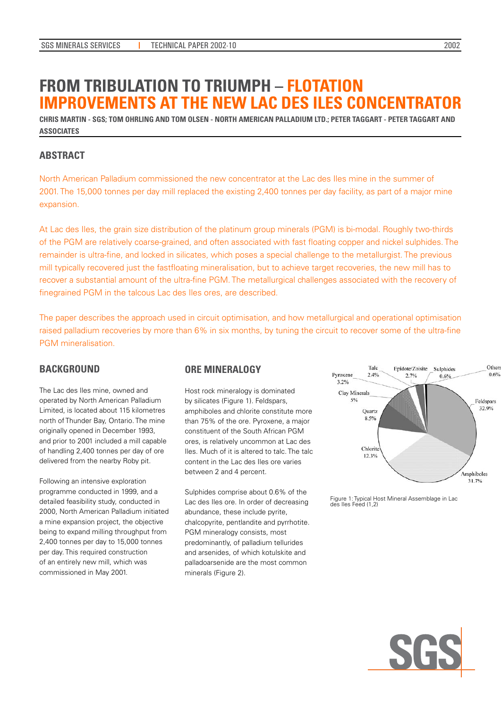# **From Tribulation to Triumph – Flotation Improvements at the New Lac des Iles Concentrator**

**Chris Martin - SGS; Tom Ohrling and Tom Olsen - North American Palladium Ltd.; Peter Taggart - Peter Taggart and Associates**

# **ABSTRACT**

North American Palladium commissioned the new concentrator at the Lac des Iles mine in the summer of 2001. The 15,000 tonnes per day mill replaced the existing 2,400 tonnes per day facility, as part of a major mine expansion.

At Lac des Iles, the grain size distribution of the platinum group minerals (PGM) is bi-modal. Roughly two-thirds of the PGM are relatively coarse-grained, and often associated with fast floating copper and nickel sulphides. The remainder is ultra-fine, and locked in silicates, which poses a special challenge to the metallurgist. The previous mill typically recovered just the fastfloating mineralisation, but to achieve target recoveries, the new mill has to recover a substantial amount of the ultra-fine PGM. The metallurgical challenges associated with the recovery of finegrained PGM in the talcous Lac des Iles ores, are described.

The paper describes the approach used in circuit optimisation, and how metallurgical and operational optimisation raised palladium recoveries by more than 6% in six months, by tuning the circuit to recover some of the ultra-fine PGM mineralisation.

# **BACKGROUND**

The Lac des Iles mine, owned and operated by North American Palladium Limited, is located about 115 kilometres north of Thunder Bay, Ontario. The mine originally opened in December 1993, and prior to 2001 included a mill capable of handling 2,400 tonnes per day of ore delivered from the nearby Roby pit.

Following an intensive exploration programme conducted in 1999, and a detailed feasibility study, conducted in 2000, North American Palladium initiated a mine expansion project, the objective being to expand milling throughput from 2,400 tonnes per day to 15,000 tonnes per day. This required construction of an entirely new mill, which was commissioned in May 2001.

# **ORE MINERALOGY**

Host rock mineralogy is dominated by silicates (Figure 1). Feldspars, amphiboles and chlorite constitute more than 75% of the ore. Pyroxene, a major constituent of the South African PGM ores, is relatively uncommon at Lac des Iles. Much of it is altered to talc. The talc content in the Lac des Iles ore varies between 2 and 4 percent.

Sulphides comprise about 0.6% of the Lac des Iles ore. In order of decreasing abundance, these include pyrite, chalcopyrite, pentlandite and pyrrhotite. PGM mineralogy consists, most predominantly, of palladium tellurides and arsenides, of which kotulskite and palladoarsenide are the most common minerals (Figure 2).



Figure 1: Typical Host Mineral Assemblage in Lac des Iles Feed (1,2)

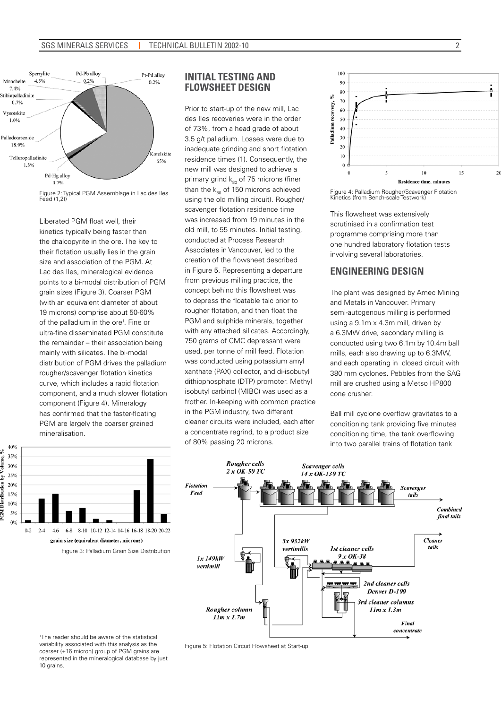

Figure 2: Typical PGM Assemblage in Lac des Iles Feed (1,2))

Liberated PGM float well, their kinetics typically being faster than the chalcopyrite in the ore. The key to their flotation usually lies in the grain size and association of the PGM. At Lac des Iles, mineralogical evidence points to a bi-modal distribution of PGM grain sizes (Figure 3). Coarser PGM (with an equivalent diameter of about 19 microns) comprise about 50-60% of the palladium in the ore<sup>1</sup>. Fine or ultra-fine disseminated PGM constitute the remainder – their association being mainly with silicates. The bi-modal distribution of PGM drives the palladium rougher/scavenger flotation kinetics curve, which includes a rapid flotation component, and a much slower flotation component (Figure 4). Mineralogy has confirmed that the faster-floating PGM are largely the coarser grained mineralisation.



Prior to start-up of the new mill, Lac des Iles recoveries were in the order of 73%, from a head grade of about 3.5 g/t palladium. Losses were due to inadequate grinding and short flotation residence times (1). Consequently, the new mill was designed to achieve a primary grind  $k_{so}$  of 75 microns (finer than the  $k_{80}$  of 150 microns achieved using the old milling circuit). Rougher/ scavenger flotation residence time was increased from 19 minutes in the old mill, to 55 minutes. Initial testing, conducted at Process Research Associates in Vancouver, led to the creation of the flowsheet described in Figure 5. Representing a departure from previous milling practice, the concept behind this flowsheet was to depress the floatable talc prior to rougher flotation, and then float the PGM and sulphide minerals, together with any attached silicates. Accordingly, 750 grams of CMC depressant were used, per tonne of mill feed. Flotation was conducted using potassium amyl xanthate (PAX) collector, and di-isobutyl dithiophosphate (DTP) promoter. Methyl isobutyl carbinol (MIBC) was used as a frother. In-keeping with common practice in the PGM industry, two different cleaner circuits were included, each after a concentrate regrind, to a product size of 80% passing 20 microns.



2

Figure 4: Palladium Rougher/Scavenger Flotation Kinetics (from Bench-scale Testwork)

This flowsheet was extensively scrutinised in a confirmation test programme comprising more than one hundred laboratory flotation tests involving several laboratories.

# **Engineering Design**

The plant was designed by Amec Mining and Metals in Vancouver. Primary semi-autogenous milling is performed using a 9.1m x 4.3m mill, driven by a 6.3MW drive, secondary milling is conducted using two 6.1m by 10.4m ball mills, each also drawing up to 6.3MW, and each operating in closed circuit with 380 mm cyclones. Pebbles from the SAG mill are crushed using a Metso HP800 cone crusher.

Ball mill cyclone overflow gravitates to a conditioning tank providing five minutes conditioning time, the tank overflowing into two parallel trains of flotation tank





1 The reader should be aware of the statistical variability associated with this analysis as the coarser (+16 micron) group of PGM grains are represented in the mineralogical database by just 10 grains.

Figure 5: Flotation Circuit Flowsheet at Start-up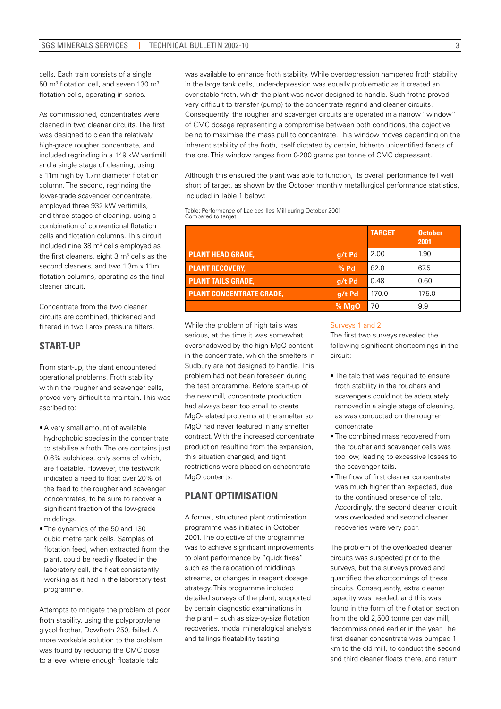cells. Each train consists of a single 50 m<sup>3</sup> flotation cell, and seven 130 m<sup>3</sup> flotation cells, operating in series.

As commissioned, concentrates were cleaned in two cleaner circuits. The first was designed to clean the relatively high-grade rougher concentrate, and included regrinding in a 149 kW vertimill and a single stage of cleaning, using a 11m high by 1.7m diameter flotation column. The second, regrinding the lower-grade scavenger concentrate, employed three 932 kW vertimills, and three stages of cleaning, using a combination of conventional flotation cells and flotation columns. This circuit included nine 38 m<sup>3</sup> cells employed as the first cleaners, eight  $3 \text{ m}^3$  cells as the second cleaners, and two 1.3m x 11m flotation columns, operating as the final cleaner circuit.

Concentrate from the two cleaner circuits are combined, thickened and filtered in two Larox pressure filters.

# **Start-up**

From start-up, the plant encountered operational problems. Froth stability within the rougher and scavenger cells, proved very difficult to maintain. This was ascribed to:

- A very small amount of available hydrophobic species in the concentrate to stabilise a froth. The ore contains just 0.6% sulphides, only some of which, are floatable. However, the testwork indicated a need to float over 20% of the feed to the rougher and scavenger concentrates, to be sure to recover a significant fraction of the low-grade middlings.
- The dynamics of the 50 and 130 cubic metre tank cells. Samples of flotation feed, when extracted from the plant, could be readily floated in the laboratory cell, the float consistently working as it had in the laboratory test programme.

Attempts to mitigate the problem of poor froth stability, using the polypropylene glycol frother, Dowfroth 250, failed. A more workable solution to the problem was found by reducing the CMC dose to a level where enough floatable talc

was available to enhance froth stability. While overdepression hampered froth stability in the large tank cells, under-depression was equally problematic as it created an over-stable froth, which the plant was never designed to handle. Such froths proved very difficult to transfer (pump) to the concentrate regrind and cleaner circuits. Consequently, the rougher and scavenger circuits are operated in a narrow "window" of CMC dosage representing a compromise between both conditions, the objective being to maximise the mass pull to concentrate. This window moves depending on the inherent stability of the froth, itself dictated by certain, hitherto unidentified facets of the ore. This window ranges from 0-200 grams per tonne of CMC depressant.

Although this ensured the plant was able to function, its overall performance fell well short of target, as shown by the October monthly metallurgical performance statistics, included in Table 1 below:

Table: Performance of Lac des Iles Mill during October 2001 Compared to target

|                                 |         | <b>TARGET</b> | <b>October</b><br>2001 |
|---------------------------------|---------|---------------|------------------------|
| <b>PLANT HEAD GRADE,</b>        | q/t Pd  | 2.00          | 1.90                   |
| <b>PLANT RECOVERY.</b>          | $%$ Pd  | 82.0          | 67.5                   |
| <b>PLANT TAILS GRADE,</b>       | q/t Pd  | 0.48          | 0.60                   |
| <b>PLANT CONCENTRATE GRADE.</b> | q/t Pd  | 170.0         | 175.0                  |
|                                 | $%$ MqO | 7.0           | 9.9                    |

While the problem of high tails was serious, at the time it was somewhat overshadowed by the high MgO content in the concentrate, which the smelters in Sudbury are not designed to handle. This problem had not been foreseen during the test programme. Before start-up of the new mill, concentrate production had always been too small to create MgO-related problems at the smelter so MgO had never featured in any smelter contract. With the increased concentrate production resulting from the expansion, this situation changed, and tight restrictions were placed on concentrate MgO contents.

# **Plant Optimisation**

A formal, structured plant optimisation programme was initiated in October 2001. The objective of the programme was to achieve significant improvements to plant performance by "quick fixes" such as the relocation of middlings streams, or changes in reagent dosage strategy. This programme included detailed surveys of the plant, supported by certain diagnostic examinations in the plant – such as size-by-size flotation recoveries, modal mineralogical analysis and tailings floatability testing.

#### Surveys 1 and 2

The first two surveys revealed the following significant shortcomings in the circuit:

- The talc that was required to ensure froth stability in the roughers and scavengers could not be adequately removed in a single stage of cleaning, as was conducted on the rougher concentrate.
- The combined mass recovered from the rougher and scavenger cells was too low, leading to excessive losses to the scavenger tails.
- The flow of first cleaner concentrate was much higher than expected, due to the continued presence of talc. Accordingly, the second cleaner circuit was overloaded and second cleaner recoveries were very poor.

The problem of the overloaded cleaner circuits was suspected prior to the surveys, but the surveys proved and quantified the shortcomings of these circuits. Consequently, extra cleaner capacity was needed, and this was found in the form of the flotation section from the old 2,500 tonne per day mill, decommissioned earlier in the year. The first cleaner concentrate was pumped 1 km to the old mill, to conduct the second and third cleaner floats there, and return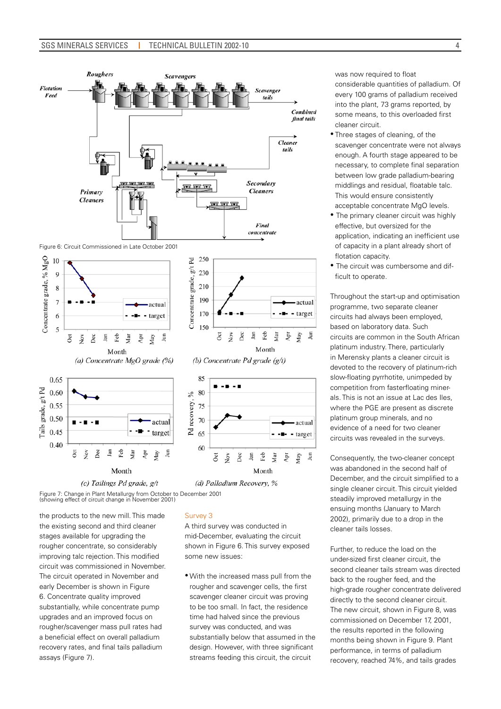

Figure 6: Circuit Commissioned in Late October 2001



Figure 7: Change in Plant Metallurgy from October to December 2001 (showing effect of circuit change in November 2001)

the products to the new mill. This made the existing second and third cleaner stages available for upgrading the rougher concentrate, so considerably improving talc rejection. This modified circuit was commissioned in November. The circuit operated in November and early December is shown in Figure 6. Concentrate quality improved substantially, while concentrate pump upgrades and an improved focus on rougher/scavenger mass pull rates had a beneficial effect on overall palladium recovery rates, and final tails palladium assays (Figure 7).

#### Survey 3

A third survey was conducted in mid-December, evaluating the circuit shown in Figure 6. This survey exposed some new issues:

• With the increased mass pull from the rougher and scavenger cells, the first scavenger cleaner circuit was proving to be too small. In fact, the residence time had halved since the previous survey was conducted, and was substantially below that assumed in the design. However, with three significant streams feeding this circuit, the circuit

was now required to float considerable quantities of palladium. Of every 100 grams of palladium received into the plant, 73 grams reported, by some means, to this overloaded first cleaner circuit.

- Three stages of cleaning, of the scavenger concentrate were not always enough. A fourth stage appeared to be necessary, to complete final separation between low grade palladium-bearing middlings and residual, floatable talc. This would ensure consistently acceptable concentrate MgO levels.
- The primary cleaner circuit was highly effective, but oversized for the application, indicating an inefficient use of capacity in a plant already short of flotation capacity.
- The circuit was cumbersome and difficult to operate.

Throughout the start-up and optimisation programme, two separate cleaner circuits had always been employed, based on laboratory data. Such circuits are common in the South African platinum industry. There, particularly in Merensky plants a cleaner circuit is devoted to the recovery of platinum-rich slow-floating pyrrhotite, unimpeded by competition from fasterfloating minerals. This is not an issue at Lac des Iles, where the PGE are present as discrete platinum group minerals, and no evidence of a need for two cleaner circuits was revealed in the surveys.

Ĵш

Consequently, the two-cleaner concept was abandoned in the second half of December, and the circuit simplified to a single cleaner circuit. This circuit yielded steadily improved metallurgy in the ensuing months (January to March 2002), primarily due to a drop in the cleaner tails losses.

Further, to reduce the load on the under-sized first cleaner circuit, the second cleaner tails stream was directed back to the rougher feed, and the high-grade rougher concentrate delivered directly to the second cleaner circuit. The new circuit, shown in Figure 8, was commissioned on December 17, 2001, the results reported in the following months being shown in Figure 9. Plant performance, in terms of palladium recovery, reached 74%, and tails grades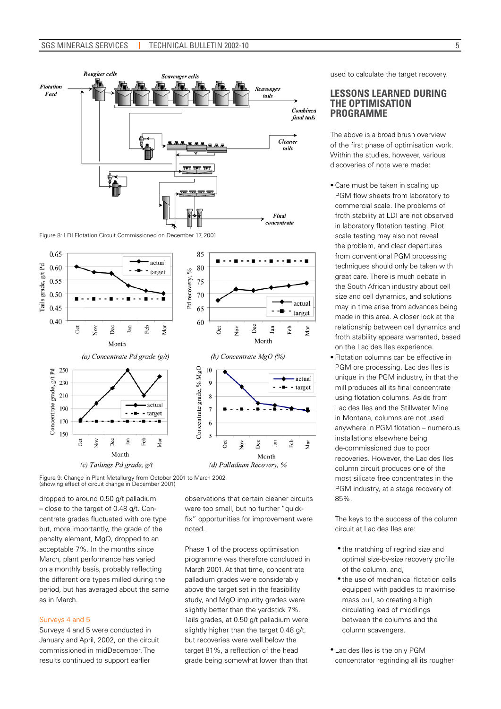

Figure 8: LDI Flotation Circuit Commissioned on December 17, 2001



Figure 9: Change in Plant Metallurgy from October 2001 to March 2002 (showing effect of circuit change in December 2001)

dropped to around 0.50 g/t palladium – close to the target of 0.48 g/t. Concentrate grades fluctuated with ore type but, more importantly, the grade of the penalty element, MgO, dropped to an acceptable 7%. In the months since March, plant performance has varied on a monthly basis, probably reflecting the different ore types milled during the period, but has averaged about the same as in March.

#### Surveys 4 and 5

Surveys 4 and 5 were conducted in January and April, 2002, on the circuit commissioned in midDecember. The results continued to support earlier

observations that certain cleaner circuits were too small, but no further "quickfix" opportunities for improvement were noted.

Phase 1 of the process optimisation programme was therefore concluded in March 2001. At that time, concentrate palladium grades were considerably above the target set in the feasibility study, and MgO impurity grades were slightly better than the yardstick 7%. Tails grades, at 0.50 g/t palladium were slightly higher than the target 0.48 g/t, but recoveries were well below the target 81%, a reflection of the head grade being somewhat lower than that

used to calculate the target recovery.

#### **Lessons Learned During the Optimisation Programme**

The above is a broad brush overview of the first phase of optimisation work. Within the studies, however, various discoveries of note were made:

- Care must be taken in scaling up PGM flow sheets from laboratory to commercial scale. The problems of froth stability at LDI are not observed in laboratory flotation testing. Pilot scale testing may also not reveal the problem, and clear departures from conventional PGM processing techniques should only be taken with great care. There is much debate in the South African industry about cell size and cell dynamics, and solutions may in time arise from advances being made in this area. A closer look at the relationship between cell dynamics and froth stability appears warranted, based on the Lac des Iles experience.
- Flotation columns can be effective in PGM ore processing. Lac des Iles is unique in the PGM industry, in that the mill produces all its final concentrate using flotation columns. Aside from Lac des Iles and the Stillwater Mine in Montana, columns are not used anywhere in PGM flotation – numerous installations elsewhere being de-commissioned due to poor recoveries. However, the Lac des Iles column circuit produces one of the most silicate free concentrates in the PGM industry, at a stage recovery of 85%.

The keys to the success of the column circuit at Lac des Iles are:

- the matching of regrind size and optimal size-by-size recovery profile of the column, and,
- the use of mechanical flotation cells equipped with paddles to maximise mass pull, so creating a high circulating load of middlings between the columns and the column scavengers.
- • Lac des Iles is the only PGM concentrator regrinding all its rougher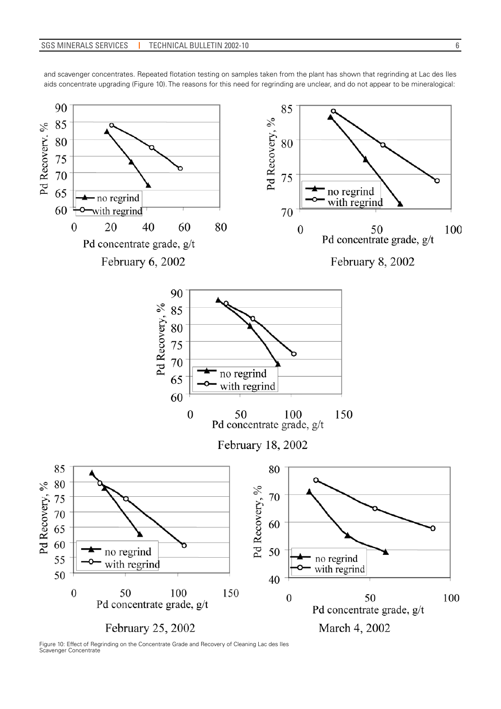and scavenger concentrates. Repeated flotation testing on samples taken from the plant has shown that regrinding at Lac des Iles aids concentrate upgrading (Figure 10). The reasons for this need for regrinding are unclear, and do not appear to be mineralogical:



Figure 10: Effect of Regrinding on the Concentrate Grade and Recovery of Cleaning Lac des Iles Scavenger Concentrate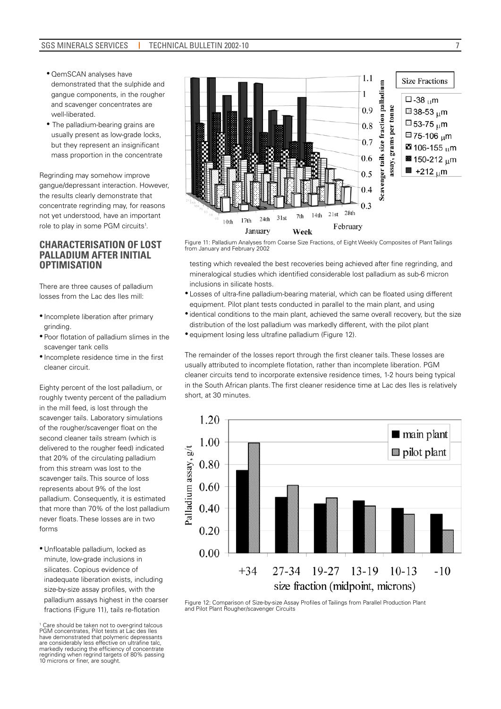- QemSCAN analyses have demonstrated that the sulphide and gangue components, in the rougher and scavenger concentrates are well-liberated.
- The palladium-bearing grains are usually present as low-grade locks, but they represent an insignificant mass proportion in the concentrate

Regrinding may somehow improve gangue/depressant interaction. However, the results clearly demonstrate that concentrate regrinding may, for reasons not yet understood, have an important role to play in some PGM circuits<sup>1</sup>.

# **Characterisation of Lost Palladium after Initial Optimisation**

There are three causes of palladium losses from the Lac des Iles mill:

- Incomplete liberation after primary grinding.
- Poor flotation of palladium slimes in the scavenger tank cells
- Incomplete residence time in the first cleaner circuit.

Eighty percent of the lost palladium, or roughly twenty percent of the palladium in the mill feed, is lost through the scavenger tails. Laboratory simulations of the rougher/scavenger float on the second cleaner tails stream (which is delivered to the rougher feed) indicated that 20% of the circulating palladium from this stream was lost to the scavenger tails. This source of loss represents about 9% of the lost palladium. Consequently, it is estimated that more than 70% of the lost palladium never floats. These losses are in two forms

• Unfloatable palladium, locked as minute, low-grade inclusions in silicates. Copious evidence of inadequate liberation exists, including size-by-size assay profiles, with the palladium assays highest in the coarser fractions (Figure 11), tails re-flotation



Figure 11: Palladium Analyses from Coarse Size Fractions, of Eight Weekly Composites of Plant Tailings from January and February 2002

testing which revealed the best recoveries being achieved after fine regrinding, and mineralogical studies which identified considerable lost palladium as sub-6 micron inclusions in silicate hosts.

- Losses of ultra-fine palladium-bearing material, which can be floated using different equipment. Pilot plant tests conducted in parallel to the main plant, and using
- identical conditions to the main plant, achieved the same overall recovery, but the size distribution of the lost palladium was markedly different, with the pilot plant
- equipment losing less ultrafine palladium (Figure 12).

The remainder of the losses report through the first cleaner tails. These losses are usually attributed to incomplete flotation, rather than incomplete liberation. PGM cleaner circuits tend to incorporate extensive residence times, 1-2 hours being typical in the South African plants. The first cleaner residence time at Lac des Iles is relatively short, at 30 minutes.



Figure 12: Comparison of Size-by-size Assay Profiles of Tailings from Parallel Production Plant and Pilot Plant Rougher/scavenger Circuits

7

<sup>1</sup> Care should be taken not to over-grind talcous PGM concentrates, Pilot tests at Lac des Iles have demonstrated that polymeric depressants are considerably less effective on ultrafine talc, markedly reducing the efficiency of concentrate regrinding when regrind targets of 80% passing 10 microns or finer, are sought.